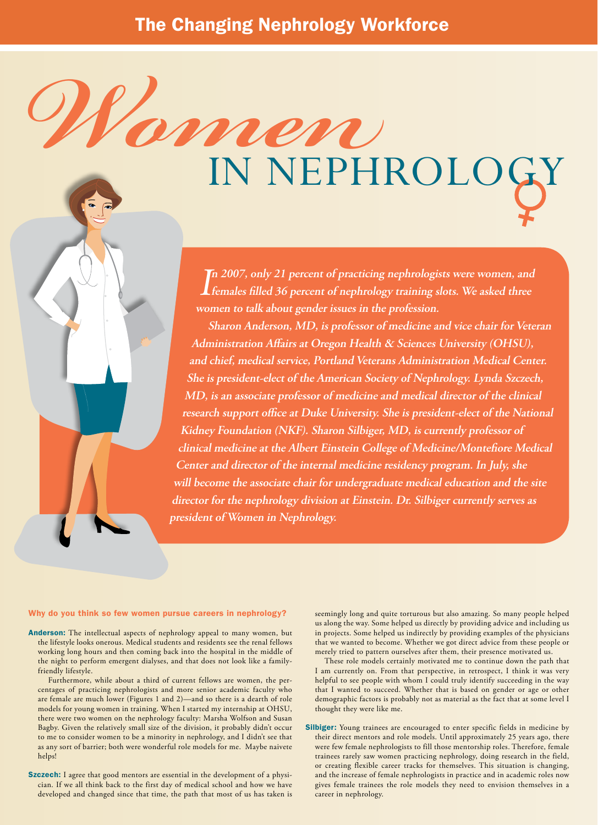## *Women* in Nephrology

In 2007, only 21 percent of practicing nephrologists were women, and<br>**I** females filled 36 percent of nephrology training slots. We asked three **n 2007, only 21 percent of practicing nephrologists were women, and women to talk about gender issues in the profession.** 

 **Sharon Anderson, MD, is professor of medicine and vice chair for Veteran Administration Affairs at Oregon Health & Sciences University (OHSU), and chief, medical service, Portland Veterans Administration Medical Center. She is president-elect of the American Society of Nephrology. Lynda Szczech, MD, is an associate professor of medicine and medical director of the clinical research support office at Duke University. She is president-elect of the National Kidney Foundation (NKF). Sharon Silbiger, MD, is currently professor of clinical medicine at the Albert Einstein College of Medicine/Montefiore Medical Center and director of the internal medicine residency program. In July, she will become the associate chair for undergraduate medical education and the site director for the nephrology division at Einstein. Dr. Silbiger currently serves as president of Women in Nephrology.**

## Why do you think so few women pursue careers in nephrology?

- Anderson: The intellectual aspects of nephrology appeal to many women, but the lifestyle looks onerous. Medical students and residents see the renal fellows working long hours and then coming back into the hospital in the middle of the night to perform emergent dialyses, and that does not look like a familyfriendly lifestyle.
	- Furthermore, while about a third of current fellows are women, the percentages of practicing nephrologists and more senior academic faculty who are female are much lower (Figures 1 and 2)—and so there is a dearth of role models for young women in training. When I started my internship at OHSU, there were two women on the nephrology faculty: Marsha Wolfson and Susan Bagby. Given the relatively small size of the division, it probably didn't occur to me to consider women to be a minority in nephrology, and I didn't see that as any sort of barrier; both were wonderful role models for me. Maybe naivete helps!
- Szczech: I agree that good mentors are essential in the development of a physician. If we all think back to the first day of medical school and how we have developed and changed since that time, the path that most of us has taken is

seemingly long and quite torturous but also amazing. So many people helped us along the way. Some helped us directly by providing advice and including us in projects. Some helped us indirectly by providing examples of the physicians that we wanted to become. Whether we got direct advice from these people or merely tried to pattern ourselves after them, their presence motivated us.

These role models certainly motivated me to continue down the path that I am currently on. From that perspective, in retrospect, I think it was very helpful to see people with whom I could truly identify succeeding in the way that I wanted to succeed. Whether that is based on gender or age or other demographic factors is probably not as material as the fact that at some level I thought they were like me.

Silbiger: Young trainees are encouraged to enter specific fields in medicine by their direct mentors and role models. Until approximately 25 years ago, there were few female nephrologists to fill those mentorship roles. Therefore, female trainees rarely saw women practicing nephrology, doing research in the field, or creating flexible career tracks for themselves. This situation is changing, and the increase of female nephrologists in practice and in academic roles now gives female trainees the role models they need to envision themselves in a career in nephrology.